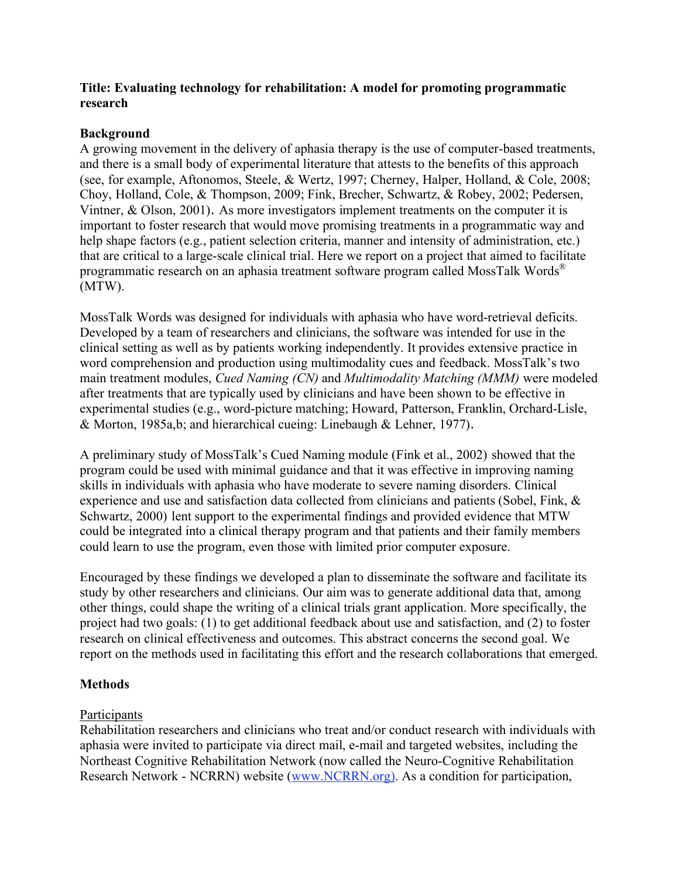## **Title: Evaluating technology for rehabilitation: A model for promoting programmatic research**

## **Background**

A growing movement in the delivery of aphasia therapy is the use of computer-based treatments, and there is a small body of experimental literature that attests to the benefits of this approach (see, for example, Aftonomos, Steele, & Wertz, 1997; Cherney, Halper, Holland, & Cole, 2008; Choy, Holland, Cole, & Thompson, 2009; Fink, Brecher, Schwartz, & Robey, 2002; Pedersen, Vintner, & Olson, 2001). As more investigators implement treatments on the computer it is important to foster research that would move promising treatments in a programmatic way and help shape factors (e.g., patient selection criteria, manner and intensity of administration, etc.) that are critical to a large-scale clinical trial. Here we report on a project that aimed to facilitate programmatic research on an aphasia treatment software program called MossTalk Words® (MTW).

MossTalk Words was designed for individuals with aphasia who have word-retrieval deficits. Developed by a team of researchers and clinicians, the software was intended for use in the clinical setting as well as by patients working independently. It provides extensive practice in word comprehension and production using multimodality cues and feedback. MossTalk's two main treatment modules, *Cued Naming (CN)* and *Multimodality Matching (MMM)* were modeled after treatments that are typically used by clinicians and have been shown to be effective in experimental studies (e.g., word-picture matching; Howard, Patterson, Franklin, Orchard-Lisle, & Morton, 1985a,b; and hierarchical cueing: Linebaugh & Lehner, 1977).

A preliminary study of MossTalk's Cued Naming module (Fink et al., 2002) showed that the program could be used with minimal guidance and that it was effective in improving naming skills in individuals with aphasia who have moderate to severe naming disorders. Clinical experience and use and satisfaction data collected from clinicians and patients (Sobel, Fink, & Schwartz, 2000) lent support to the experimental findings and provided evidence that MTW could be integrated into a clinical therapy program and that patients and their family members could learn to use the program, even those with limited prior computer exposure.

Encouraged by these findings we developed a plan to disseminate the software and facilitate its study by other researchers and clinicians. Our aim was to generate additional data that, among other things, could shape the writing of a clinical trials grant application. More specifically, the project had two goals: (1) to get additional feedback about use and satisfaction, and (2) to foster research on clinical effectiveness and outcomes. This abstract concerns the second goal. We report on the methods used in facilitating this effort and the research collaborations that emerged.

# **Methods**

# Participants

Rehabilitation researchers and clinicians who treat and/or conduct research with individuals with aphasia were invited to participate via direct mail, e-mail and targeted websites, including the Northeast Cognitive Rehabilitation Network (now called the Neuro-Cognitive Rehabilitation Research Network - NCRRN) website (www.NCRRN.org). As a condition for participation,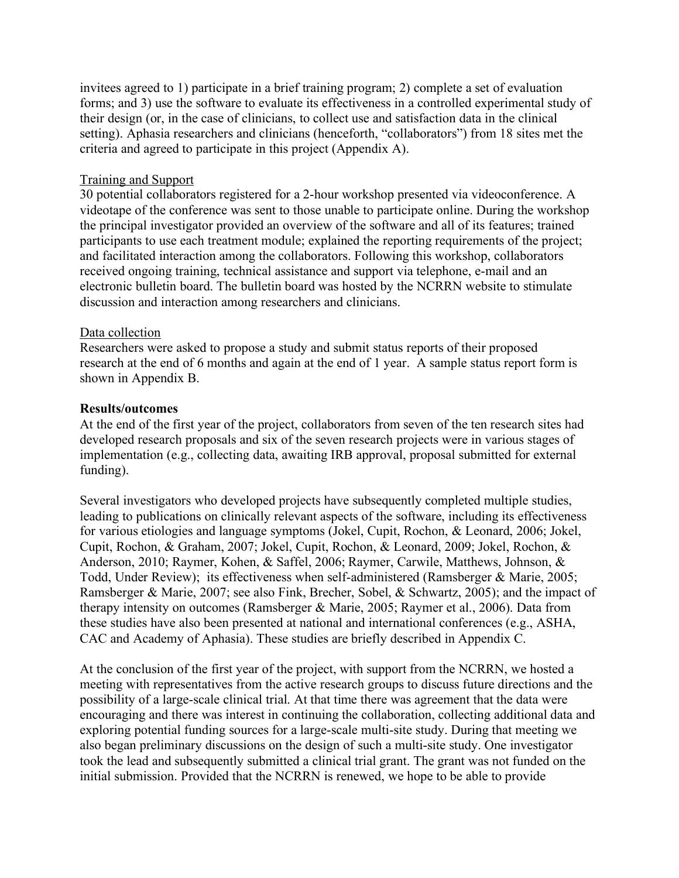invitees agreed to 1) participate in a brief training program; 2) complete a set of evaluation forms; and 3) use the software to evaluate its effectiveness in a controlled experimental study of their design (or, in the case of clinicians, to collect use and satisfaction data in the clinical setting). Aphasia researchers and clinicians (henceforth, "collaborators") from 18 sites met the criteria and agreed to participate in this project (Appendix A).

#### Training and Support

30 potential collaborators registered for a 2-hour workshop presented via videoconference. A videotape of the conference was sent to those unable to participate online. During the workshop the principal investigator provided an overview of the software and all of its features; trained participants to use each treatment module; explained the reporting requirements of the project; and facilitated interaction among the collaborators. Following this workshop, collaborators received ongoing training, technical assistance and support via telephone, e-mail and an electronic bulletin board. The bulletin board was hosted by the NCRRN website to stimulate discussion and interaction among researchers and clinicians.

### Data collection

Researchers were asked to propose a study and submit status reports of their proposed research at the end of 6 months and again at the end of 1 year. A sample status report form is shown in Appendix B.

#### **Results/outcomes**

At the end of the first year of the project, collaborators from seven of the ten research sites had developed research proposals and six of the seven research projects were in various stages of implementation (e.g., collecting data, awaiting IRB approval, proposal submitted for external funding).

Several investigators who developed projects have subsequently completed multiple studies, leading to publications on clinically relevant aspects of the software, including its effectiveness for various etiologies and language symptoms (Jokel, Cupit, Rochon, & Leonard, 2006; Jokel, Cupit, Rochon, & Graham, 2007; Jokel, Cupit, Rochon, & Leonard, 2009; Jokel, Rochon, & Anderson, 2010; Raymer, Kohen, & Saffel, 2006; Raymer, Carwile, Matthews, Johnson, & Todd, Under Review); its effectiveness when self-administered (Ramsberger & Marie, 2005; Ramsberger & Marie, 2007; see also Fink, Brecher, Sobel, & Schwartz, 2005); and the impact of therapy intensity on outcomes (Ramsberger & Marie, 2005; Raymer et al., 2006). Data from these studies have also been presented at national and international conferences (e.g., ASHA, CAC and Academy of Aphasia). These studies are briefly described in Appendix C.

At the conclusion of the first year of the project, with support from the NCRRN, we hosted a meeting with representatives from the active research groups to discuss future directions and the possibility of a large-scale clinical trial. At that time there was agreement that the data were encouraging and there was interest in continuing the collaboration, collecting additional data and exploring potential funding sources for a large-scale multi-site study. During that meeting we also began preliminary discussions on the design of such a multi-site study. One investigator took the lead and subsequently submitted a clinical trial grant. The grant was not funded on the initial submission. Provided that the NCRRN is renewed, we hope to be able to provide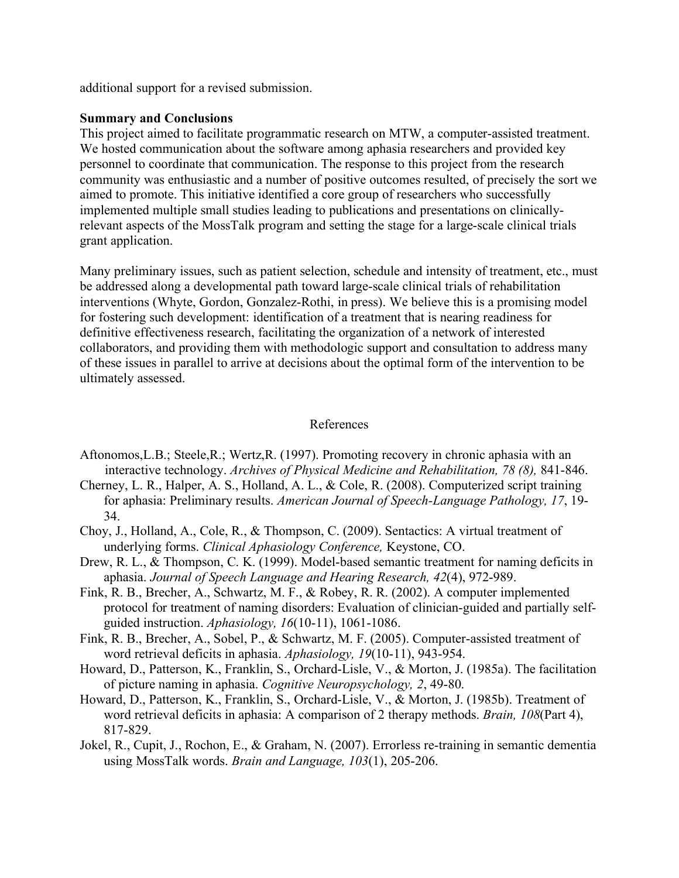additional support for a revised submission.

### **Summary and Conclusions**

This project aimed to facilitate programmatic research on MTW, a computer-assisted treatment. We hosted communication about the software among aphasia researchers and provided key personnel to coordinate that communication. The response to this project from the research community was enthusiastic and a number of positive outcomes resulted, of precisely the sort we aimed to promote. This initiative identified a core group of researchers who successfully implemented multiple small studies leading to publications and presentations on clinicallyrelevant aspects of the MossTalk program and setting the stage for a large-scale clinical trials grant application.

Many preliminary issues, such as patient selection, schedule and intensity of treatment, etc., must be addressed along a developmental path toward large-scale clinical trials of rehabilitation interventions (Whyte, Gordon, Gonzalez-Rothi, in press). We believe this is a promising model for fostering such development: identification of a treatment that is nearing readiness for definitive effectiveness research, facilitating the organization of a network of interested collaborators, and providing them with methodologic support and consultation to address many of these issues in parallel to arrive at decisions about the optimal form of the intervention to be ultimately assessed.

### References

- Aftonomos,L.B.; Steele,R.; Wertz,R. (1997). Promoting recovery in chronic aphasia with an interactive technology. *Archives of Physical Medicine and Rehabilitation, 78 (8),* 841-846.
- Cherney, L. R., Halper, A. S., Holland, A. L., & Cole, R. (2008). Computerized script training for aphasia: Preliminary results. *American Journal of Speech-Language Pathology, 17*, 19- 34.
- Choy, J., Holland, A., Cole, R., & Thompson, C. (2009). Sentactics: A virtual treatment of underlying forms. *Clinical Aphasiology Conference,* Keystone, CO.
- Drew, R. L., & Thompson, C. K. (1999). Model-based semantic treatment for naming deficits in aphasia. *Journal of Speech Language and Hearing Research, 42*(4), 972-989.
- Fink, R. B., Brecher, A., Schwartz, M. F., & Robey, R. R. (2002). A computer implemented protocol for treatment of naming disorders: Evaluation of clinician-guided and partially selfguided instruction. *Aphasiology, 16*(10-11), 1061-1086.
- Fink, R. B., Brecher, A., Sobel, P., & Schwartz, M. F. (2005). Computer-assisted treatment of word retrieval deficits in aphasia. *Aphasiology, 19*(10-11), 943-954.
- Howard, D., Patterson, K., Franklin, S., Orchard-Lisle, V., & Morton, J. (1985a). The facilitation of picture naming in aphasia. *Cognitive Neuropsychology, 2*, 49-80.
- Howard, D., Patterson, K., Franklin, S., Orchard-Lisle, V., & Morton, J. (1985b). Treatment of word retrieval deficits in aphasia: A comparison of 2 therapy methods. *Brain, 108*(Part 4), 817-829.
- Jokel, R., Cupit, J., Rochon, E., & Graham, N. (2007). Errorless re-training in semantic dementia using MossTalk words. *Brain and Language, 103*(1), 205-206.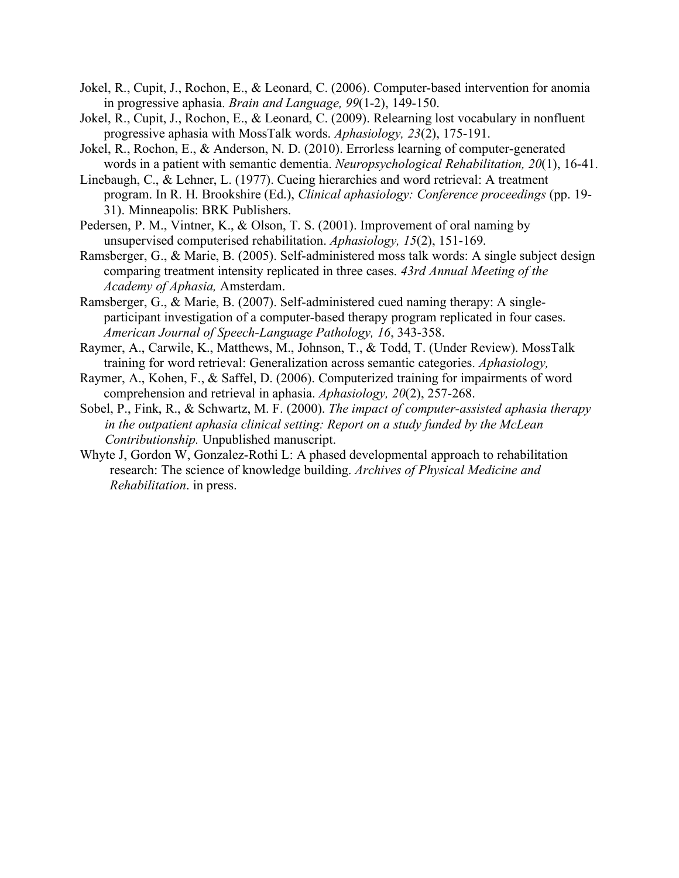- Jokel, R., Cupit, J., Rochon, E., & Leonard, C. (2006). Computer-based intervention for anomia in progressive aphasia. *Brain and Language, 99*(1-2), 149-150.
- Jokel, R., Cupit, J., Rochon, E., & Leonard, C. (2009). Relearning lost vocabulary in nonfluent progressive aphasia with MossTalk words. *Aphasiology, 23*(2), 175-191.
- Jokel, R., Rochon, E., & Anderson, N. D. (2010). Errorless learning of computer-generated words in a patient with semantic dementia. *Neuropsychological Rehabilitation, 20*(1), 16-41.
- Linebaugh, C., & Lehner, L. (1977). Cueing hierarchies and word retrieval: A treatment program. In R. H. Brookshire (Ed.), *Clinical aphasiology: Conference proceedings* (pp. 19- 31). Minneapolis: BRK Publishers.
- Pedersen, P. M., Vintner, K., & Olson, T. S. (2001). Improvement of oral naming by unsupervised computerised rehabilitation. *Aphasiology, 15*(2), 151-169.
- Ramsberger, G., & Marie, B. (2005). Self-administered moss talk words: A single subject design comparing treatment intensity replicated in three cases. *43rd Annual Meeting of the Academy of Aphasia,* Amsterdam.
- Ramsberger, G., & Marie, B. (2007). Self-administered cued naming therapy: A singleparticipant investigation of a computer-based therapy program replicated in four cases. *American Journal of Speech-Language Pathology, 16*, 343-358.
- Raymer, A., Carwile, K., Matthews, M., Johnson, T., & Todd, T. (Under Review). MossTalk training for word retrieval: Generalization across semantic categories. *Aphasiology,*
- Raymer, A., Kohen, F., & Saffel, D. (2006). Computerized training for impairments of word comprehension and retrieval in aphasia. *Aphasiology, 20*(2), 257-268.
- Sobel, P., Fink, R., & Schwartz, M. F. (2000). *The impact of computer-assisted aphasia therapy in the outpatient aphasia clinical setting: Report on a study funded by the McLean Contributionship.* Unpublished manuscript.
- Whyte J, Gordon W, Gonzalez-Rothi L: A phased developmental approach to rehabilitation research: The science of knowledge building. *Archives of Physical Medicine and Rehabilitation*. in press.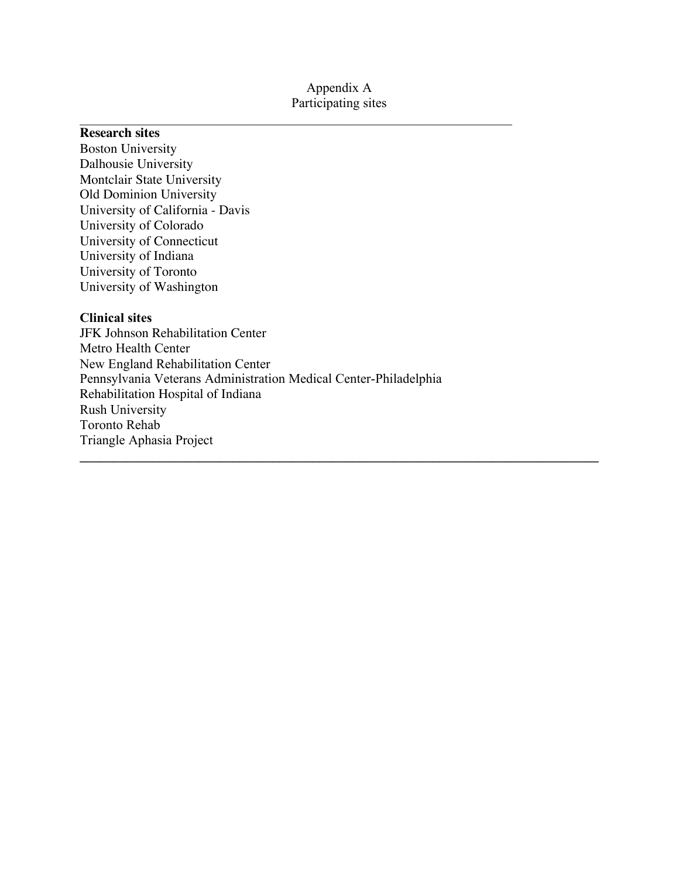## Appendix A Participating sites

 $\mathcal{L}_\text{max}$  , and the contribution of the contribution of the contribution of the contribution of the contribution of the contribution of the contribution of the contribution of the contribution of the contribution of t

### **Research sites**

Boston University Dalhousie University Montclair State University Old Dominion University University of California - Davis University of Colorado University of Connecticut University of Indiana University of Toronto University of Washington

## **Clinical sites**

JFK Johnson Rehabilitation Center Metro Health Center New England Rehabilitation Center Pennsylvania Veterans Administration Medical Center-Philadelphia Rehabilitation Hospital of Indiana Rush University Toronto Rehab Triangle Aphasia Project  $\mathcal{L}_\mathcal{L} = \{ \mathcal{L}_\mathcal{L} = \{ \mathcal{L}_\mathcal{L} = \{ \mathcal{L}_\mathcal{L} = \{ \mathcal{L}_\mathcal{L} = \{ \mathcal{L}_\mathcal{L} = \{ \mathcal{L}_\mathcal{L} = \{ \mathcal{L}_\mathcal{L} = \{ \mathcal{L}_\mathcal{L} = \{ \mathcal{L}_\mathcal{L} = \{ \mathcal{L}_\mathcal{L} = \{ \mathcal{L}_\mathcal{L} = \{ \mathcal{L}_\mathcal{L} = \{ \mathcal{L}_\mathcal{L} = \{ \mathcal{L}_\mathcal{$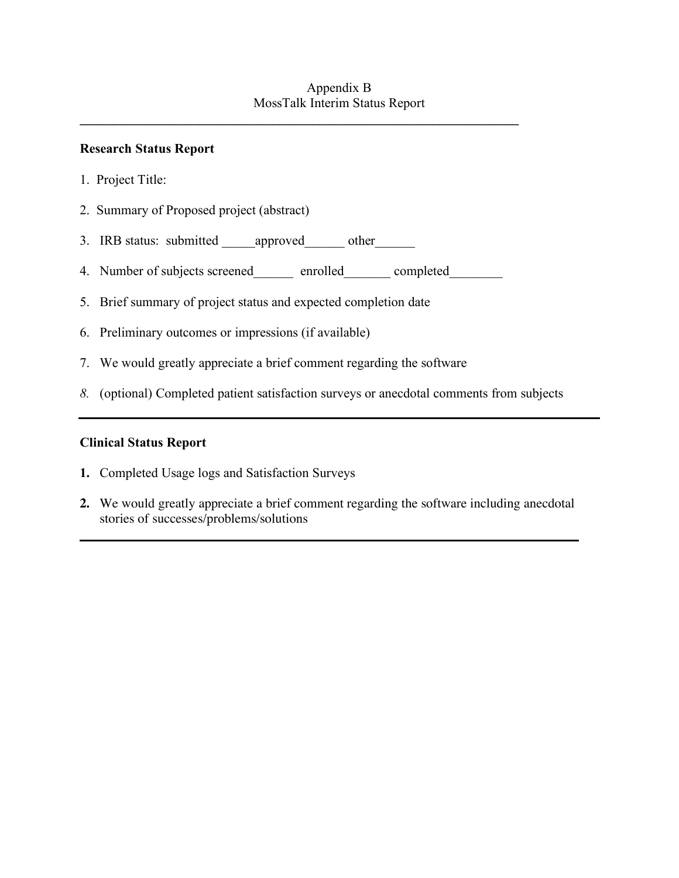# **Research Status Report**

- 1. Project Title:
- 2. Summary of Proposed project (abstract)
- 3. IRB status: submitted approved other
- 4. Number of subjects screened\_\_\_\_\_\_\_ enrolled\_\_\_\_\_\_\_ completed\_\_\_\_\_\_\_\_

 $\mathcal{L} = \{ \mathcal{L} \mid \mathcal{L} \in \mathcal{L} \}$ 

- 5. Brief summary of project status and expected completion date
- 6. Preliminary outcomes or impressions (if available)
- 7. We would greatly appreciate a brief comment regarding the software
- *8.* (optional) Completed patient satisfaction surveys or anecdotal comments from subjects

# **Clinical Status Report**

- **1.** Completed Usage logs and Satisfaction Surveys
- **2.** We would greatly appreciate a brief comment regarding the software including anecdotal stories of successes/problems/solutions

**\_\_\_\_\_\_\_\_\_\_\_\_\_\_\_\_\_\_\_\_\_\_\_\_\_\_\_\_\_\_\_\_\_\_\_\_\_\_\_\_\_\_\_\_\_\_\_\_\_\_\_\_\_\_\_\_\_\_\_\_\_\_\_\_\_\_\_\_\_\_\_\_\_\_\_**